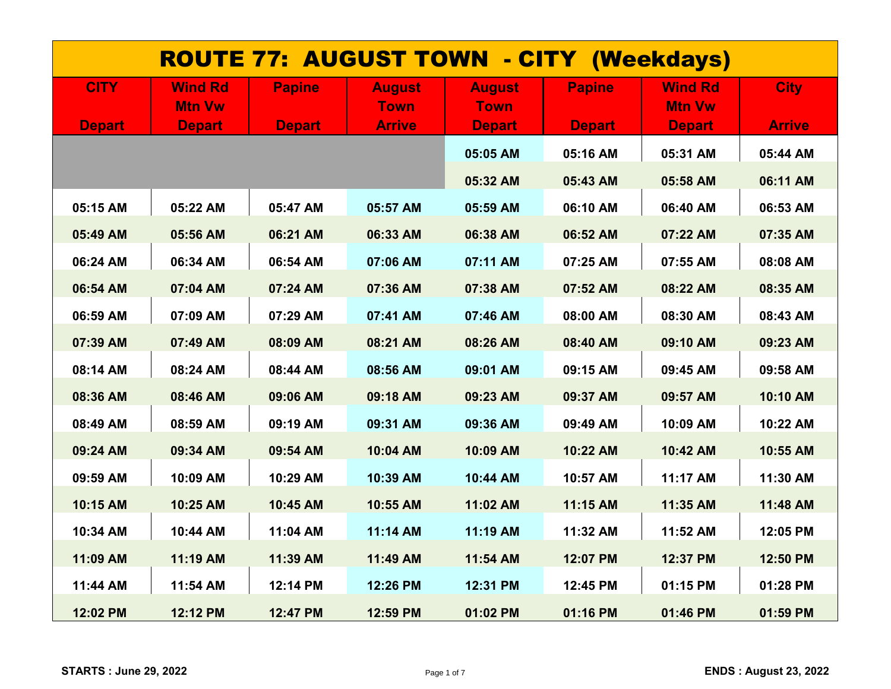| <b>ROUTE 77: AUGUST TOWN - CITY (Weekdays)</b> |                                                  |                                |                                               |                                               |                                |                                                  |                              |  |  |
|------------------------------------------------|--------------------------------------------------|--------------------------------|-----------------------------------------------|-----------------------------------------------|--------------------------------|--------------------------------------------------|------------------------------|--|--|
| <b>CITY</b><br><b>Depart</b>                   | <b>Wind Rd</b><br><b>Mtn Vw</b><br><b>Depart</b> | <b>Papine</b><br><b>Depart</b> | <b>August</b><br><b>Town</b><br><b>Arrive</b> | <b>August</b><br><b>Town</b><br><b>Depart</b> | <b>Papine</b><br><b>Depart</b> | <b>Wind Rd</b><br><b>Mtn Vw</b><br><b>Depart</b> | <b>City</b><br><b>Arrive</b> |  |  |
|                                                |                                                  |                                |                                               | 05:05 AM                                      | 05:16 AM                       | 05:31 AM                                         | 05:44 AM                     |  |  |
|                                                |                                                  |                                |                                               | 05:32 AM                                      | 05:43 AM                       | 05:58 AM                                         | 06:11 AM                     |  |  |
| 05:15 AM                                       | 05:22 AM                                         | 05:47 AM                       | 05:57 AM                                      | 05:59 AM                                      | 06:10 AM                       | 06:40 AM                                         | 06:53 AM                     |  |  |
| 05:49 AM                                       | 05:56 AM                                         | 06:21 AM                       | 06:33 AM                                      | 06:38 AM                                      | 06:52 AM                       | 07:22 AM                                         | 07:35 AM                     |  |  |
| 06:24 AM                                       | 06:34 AM                                         | 06:54 AM                       | 07:06 AM                                      | 07:11 AM                                      | 07:25 AM                       | 07:55 AM                                         | 08:08 AM                     |  |  |
| 06:54 AM                                       | 07:04 AM                                         | 07:24 AM                       | 07:36 AM                                      | 07:38 AM                                      | 07:52 AM                       | 08:22 AM                                         | 08:35 AM                     |  |  |
| 06:59 AM                                       | 07:09 AM                                         | 07:29 AM                       | 07:41 AM                                      | 07:46 AM                                      | 08:00 AM                       | 08:30 AM                                         | 08:43 AM                     |  |  |
| 07:39 AM                                       | 07:49 AM                                         | 08:09 AM                       | 08:21 AM                                      | 08:26 AM                                      | 08:40 AM                       | 09:10 AM                                         | 09:23 AM                     |  |  |
| 08:14 AM                                       | 08:24 AM                                         | 08:44 AM                       | 08:56 AM                                      | 09:01 AM                                      | 09:15 AM                       | 09:45 AM                                         | 09:58 AM                     |  |  |
| 08:36 AM                                       | 08:46 AM                                         | 09:06 AM                       | 09:18 AM                                      | 09:23 AM                                      | 09:37 AM                       | 09:57 AM                                         | 10:10 AM                     |  |  |
| 08:49 AM                                       | 08:59 AM                                         | 09:19 AM                       | 09:31 AM                                      | 09:36 AM                                      | 09:49 AM                       | 10:09 AM                                         | 10:22 AM                     |  |  |
| 09:24 AM                                       | 09:34 AM                                         | 09:54 AM                       | 10:04 AM                                      | 10:09 AM                                      | 10:22 AM                       | 10:42 AM                                         | 10:55 AM                     |  |  |
| 09:59 AM                                       | 10:09 AM                                         | 10:29 AM                       | 10:39 AM                                      | 10:44 AM                                      | 10:57 AM                       | 11:17 AM                                         | 11:30 AM                     |  |  |
| 10:15 AM                                       | 10:25 AM                                         | 10:45 AM                       | 10:55 AM                                      | 11:02 AM                                      | 11:15 AM                       | 11:35 AM                                         | 11:48 AM                     |  |  |
| 10:34 AM                                       | 10:44 AM                                         | 11:04 AM                       | 11:14 AM                                      | 11:19 AM                                      | 11:32 AM                       | 11:52 AM                                         | 12:05 PM                     |  |  |
| 11:09 AM                                       | 11:19 AM                                         | 11:39 AM                       | 11:49 AM                                      | 11:54 AM                                      | 12:07 PM                       | 12:37 PM                                         | 12:50 PM                     |  |  |
| 11:44 AM                                       | 11:54 AM                                         | 12:14 PM                       | 12:26 PM                                      | 12:31 PM                                      | 12:45 PM                       | 01:15 PM                                         | 01:28 PM                     |  |  |
| 12:02 PM                                       | 12:12 PM                                         | 12:47 PM                       | 12:59 PM                                      | 01:02 PM                                      | 01:16 PM                       | 01:46 PM                                         | 01:59 PM                     |  |  |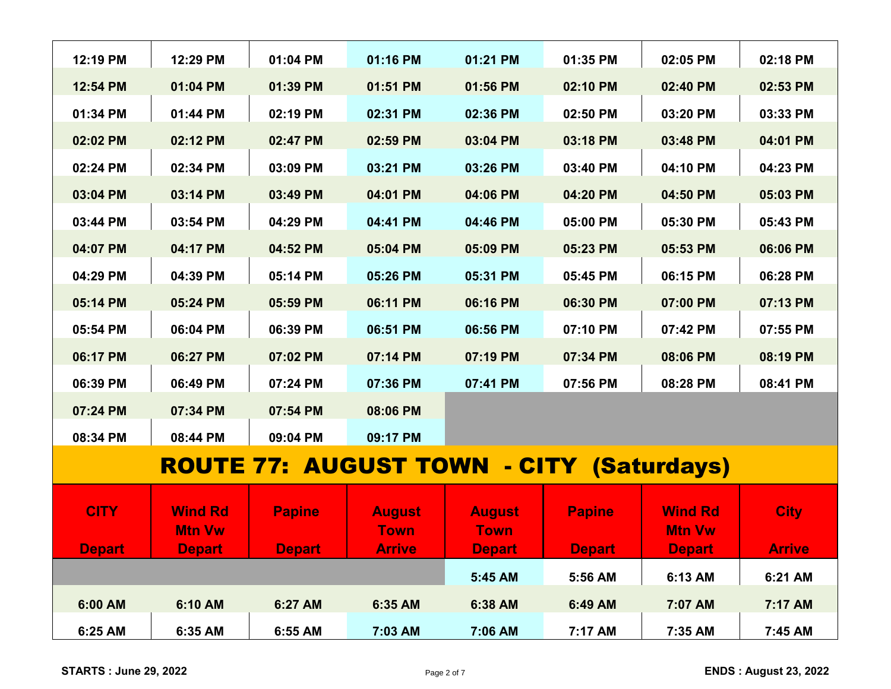| 12:29 PM       | 01:04 PM      | 01:16 PM      | 01:21 PM      | 01:35 PM      | 02:05 PM       | 02:18 PM                                                    |
|----------------|---------------|---------------|---------------|---------------|----------------|-------------------------------------------------------------|
| 01:04 PM       | 01:39 PM      | 01:51 PM      | 01:56 PM      | 02:10 PM      | 02:40 PM       | 02:53 PM                                                    |
| 01:44 PM       | 02:19 PM      | 02:31 PM      | 02:36 PM      | 02:50 PM      | 03:20 PM       | 03:33 PM                                                    |
| 02:12 PM       | 02:47 PM      | 02:59 PM      | 03:04 PM      | 03:18 PM      | 03:48 PM       | 04:01 PM                                                    |
| 02:34 PM       | 03:09 PM      | 03:21 PM      | 03:26 PM      | 03:40 PM      | 04:10 PM       | 04:23 PM                                                    |
| 03:14 PM       | 03:49 PM      | 04:01 PM      | 04:06 PM      | 04:20 PM      | 04:50 PM       | 05:03 PM                                                    |
| 03:54 PM       | 04:29 PM      | 04:41 PM      | 04:46 PM      | 05:00 PM      | 05:30 PM       | 05:43 PM                                                    |
| 04:17 PM       | 04:52 PM      | 05:04 PM      | 05:09 PM      | 05:23 PM      | 05:53 PM       | 06:06 PM                                                    |
| 04:39 PM       | 05:14 PM      | 05:26 PM      | 05:31 PM      | 05:45 PM      | 06:15 PM       | 06:28 PM                                                    |
| 05:24 PM       | 05:59 PM      | 06:11 PM      | 06:16 PM      | 06:30 PM      | 07:00 PM       | 07:13 PM                                                    |
| 06:04 PM       | 06:39 PM      | 06:51 PM      | 06:56 PM      | 07:10 PM      | 07:42 PM       | 07:55 PM                                                    |
| 06:27 PM       | 07:02 PM      | 07:14 PM      | 07:19 PM      | 07:34 PM      | 08:06 PM       | 08:19 PM                                                    |
| 06:49 PM       | 07:24 PM      |               |               | 07:56 PM      |                | 08:41 PM                                                    |
| 07:34 PM       | 07:54 PM      | 08:06 PM      |               |               |                |                                                             |
| 08:44 PM       | 09:04 PM      | 09:17 PM      |               |               |                |                                                             |
|                |               |               |               |               |                |                                                             |
|                |               |               |               |               |                |                                                             |
| <b>Wind Rd</b> | <b>Papine</b> | <b>August</b> | <b>August</b> | <b>Papine</b> | <b>Wind Rd</b> | <b>City</b>                                                 |
| <b>Mtn Vw</b>  |               | <b>Town</b>   | <b>Town</b>   |               | <b>Mtn Vw</b>  |                                                             |
| <b>Depart</b>  | <b>Depart</b> | <b>Arrive</b> | <b>Depart</b> | <b>Depart</b> | <b>Depart</b>  | <b>Arrive</b>                                               |
|                |               |               | 5:45 AM       | 5:56 AM       | 6:13 AM        | 6:21 AM                                                     |
| 6:10 AM        | 6:27 AM       | 6:35 AM       | 6:38 AM       | 6:49 AM       | 7:07 AM        | 7:17 AM                                                     |
| 6:35 AM        | 6:55 AM       | 7:03 AM       | 7:06 AM       | 7:17 AM       | 7:35 AM        | 7:45 AM                                                     |
|                |               |               | 07:36 PM      | 07:41 PM      |                | 08:28 PM<br><b>ROUTE 77: AUGUST TOWN - CITY (Saturdays)</b> |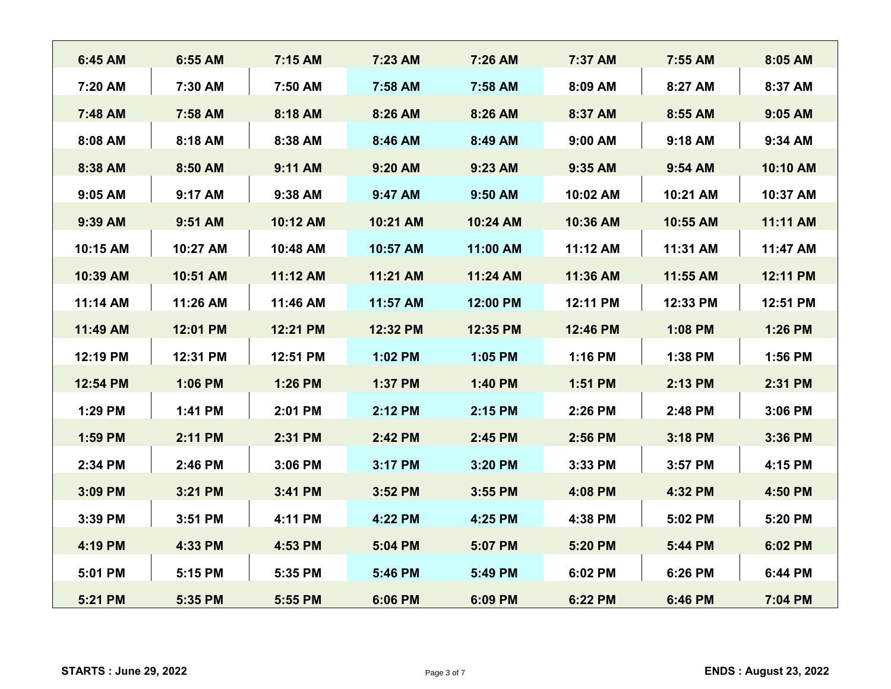| 6:45 AM  | 6:55 AM  | 7:15 AM  | 7:23 AM  | 7:26 AM  | 7:37 AM   | 7:55 AM  | 8:05 AM  |
|----------|----------|----------|----------|----------|-----------|----------|----------|
| 7:20 AM  | 7:30 AM  | 7:50 AM  | 7:58 AM  | 7:58 AM  | 8:09 AM   | 8:27 AM  | 8:37 AM  |
| 7:48 AM  | 7:58 AM  | 8:18 AM  | 8:26 AM  | 8:26 AM  | 8:37 AM   | 8:55 AM  | 9:05 AM  |
| 8:08 AM  | 8:18 AM  | 8:38 AM  | 8:46 AM  | 8:49 AM  | $9:00$ AM | 9:18 AM  | 9:34 AM  |
| 8:38 AM  | 8:50 AM  | 9:11 AM  | 9:20 AM  | 9:23 AM  | 9:35 AM   | 9:54 AM  | 10:10 AM |
| 9:05 AM  | 9:17 AM  | 9:38 AM  | 9:47 AM  | 9:50 AM  | 10:02 AM  | 10:21 AM | 10:37 AM |
| 9:39 AM  | 9:51 AM  | 10:12 AM | 10:21 AM | 10:24 AM | 10:36 AM  | 10:55 AM | 11:11 AM |
| 10:15 AM | 10:27 AM | 10:48 AM | 10:57 AM | 11:00 AM | 11:12 AM  | 11:31 AM | 11:47 AM |
| 10:39 AM | 10:51 AM | 11:12 AM | 11:21 AM | 11:24 AM | 11:36 AM  | 11:55 AM | 12:11 PM |
| 11:14 AM | 11:26 AM | 11:46 AM | 11:57 AM | 12:00 PM | 12:11 PM  | 12:33 PM | 12:51 PM |
| 11:49 AM | 12:01 PM | 12:21 PM | 12:32 PM | 12:35 PM | 12:46 PM  | 1:08 PM  | 1:26 PM  |
| 12:19 PM | 12:31 PM | 12:51 PM | 1:02 PM  | 1:05 PM  | 1:16 PM   | 1:38 PM  | 1:56 PM  |
| 12:54 PM | 1:06 PM  | 1:26 PM  | 1:37 PM  | 1:40 PM  | 1:51 PM   | 2:13 PM  | 2:31 PM  |
| 1:29 PM  | 1:41 PM  | 2:01 PM  | 2:12 PM  | 2:15 PM  | 2:26 PM   | 2:48 PM  | 3:06 PM  |
| 1:59 PM  | 2:11 PM  | 2:31 PM  | 2:42 PM  | 2:45 PM  | 2:56 PM   | 3:18 PM  | 3:36 PM  |
| 2:34 PM  | 2:46 PM  | 3:06 PM  | 3:17 PM  | 3:20 PM  | 3:33 PM   | 3:57 PM  | 4:15 PM  |
| 3:09 PM  | 3:21 PM  | 3:41 PM  | 3:52 PM  | 3:55 PM  | 4:08 PM   | 4:32 PM  | 4:50 PM  |
| 3:39 PM  | 3:51 PM  | 4:11 PM  | 4:22 PM  | 4:25 PM  | 4:38 PM   | 5:02 PM  | 5:20 PM  |
| 4:19 PM  | 4:33 PM  | 4:53 PM  | 5:04 PM  | 5:07 PM  | 5:20 PM   | 5:44 PM  | 6:02 PM  |
| 5:01 PM  | 5:15 PM  | 5:35 PM  | 5:46 PM  | 5:49 PM  | 6:02 PM   | 6:26 PM  | 6:44 PM  |
| 5:21 PM  | 5:35 PM  | 5:55 PM  | 6:06 PM  | 6:09 PM  | 6:22 PM   | 6:46 PM  | 7:04 PM  |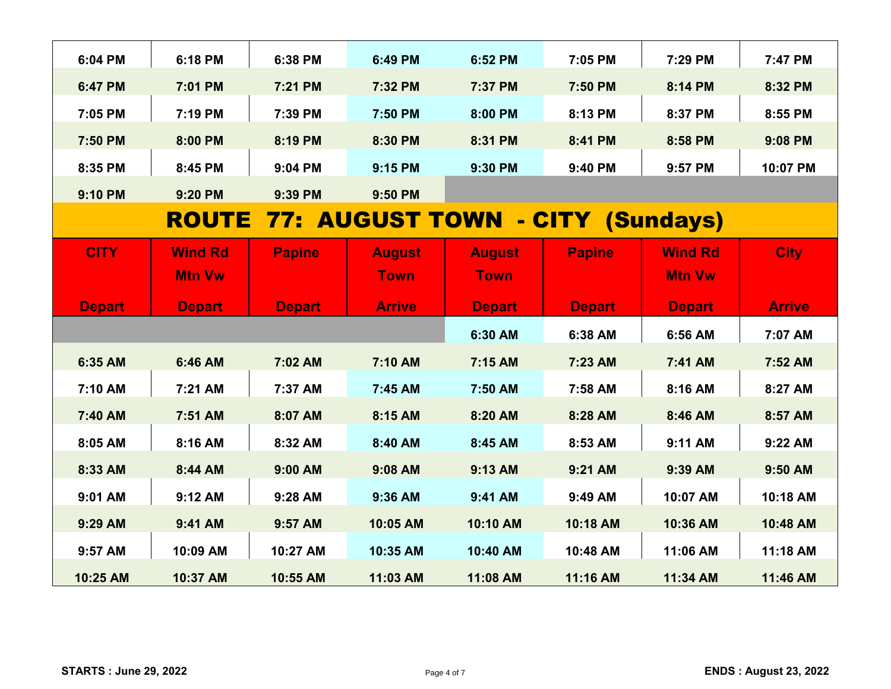| 6:04 PM       | 6:18 PM        | 6:38 PM       | 6:49 PM       | 6:52 PM       | 7:05 PM                                       | 7:29 PM        | 7:47 PM       |
|---------------|----------------|---------------|---------------|---------------|-----------------------------------------------|----------------|---------------|
| 6:47 PM       | 7:01 PM        | 7:21 PM       | 7:32 PM       | 7:37 PM       | 7:50 PM                                       | 8:14 PM        | 8:32 PM       |
| 7:05 PM       | 7:19 PM        | 7:39 PM       | 7:50 PM       | 8:00 PM       | 8:13 PM                                       | 8:37 PM        | 8:55 PM       |
| 7:50 PM       | 8:00 PM        | 8:19 PM       | 8:30 PM       | 8:31 PM       | 8:41 PM                                       | 8:58 PM        | 9:08 PM       |
| 8:35 PM       | 8:45 PM        | 9:04 PM       | 9:15 PM       | 9:30 PM       | 9:40 PM                                       | 9:57 PM        | 10:07 PM      |
| 9:10 PM       | 9:20 PM        | 9:39 PM       | 9:50 PM       |               |                                               |                |               |
|               |                |               |               |               | <b>ROUTE 77: AUGUST TOWN - CITY (Sundays)</b> |                |               |
| <b>CITY</b>   | <b>Wind Rd</b> | <b>Papine</b> | <b>August</b> | <b>August</b> | <b>Papine</b>                                 | <b>Wind Rd</b> | <b>City</b>   |
|               | <b>Mtn Vw</b>  |               | <b>Town</b>   | <b>Town</b>   |                                               | <b>Mtn Vw</b>  |               |
| <b>Depart</b> | <b>Depart</b>  | <b>Depart</b> | <b>Arrive</b> | <b>Depart</b> | <b>Depart</b>                                 | <b>Depart</b>  | <b>Arrive</b> |
|               |                |               |               | 6:30 AM       | 6:38 AM                                       | 6:56 AM        | 7:07 AM       |
| 6:35 AM       | 6:46 AM        | 7:02 AM       | 7:10 AM       | 7:15 AM       | 7:23 AM                                       | 7:41 AM        | 7:52 AM       |
| 7:10 AM       | 7:21 AM        | 7:37 AM       | 7:45 AM       | 7:50 AM       | 7:58 AM                                       | 8:16 AM        | 8:27 AM       |
| 7:40 AM       | 7:51 AM        | 8:07 AM       | 8:15 AM       | 8:20 AM       | 8:28 AM                                       | 8:46 AM        | 8:57 AM       |
| 8:05 AM       | 8:16 AM        | 8:32 AM       | 8:40 AM       | 8:45 AM       | 8:53 AM                                       | 9:11 AM        | 9:22 AM       |
| 8:33 AM       | 8:44 AM        | 9:00 AM       | 9:08 AM       | 9:13 AM       | 9:21 AM                                       | 9:39 AM        | 9:50 AM       |
| 9:01 AM       | 9:12 AM        | 9:28 AM       | 9:36 AM       | 9:41 AM       | 9:49 AM                                       | 10:07 AM       | 10:18 AM      |
| 9:29 AM       | 9:41 AM        | 9:57 AM       | 10:05 AM      | 10:10 AM      | 10:18 AM                                      | 10:36 AM       | 10:48 AM      |
| 9:57 AM       | 10:09 AM       | 10:27 AM      | 10:35 AM      | 10:40 AM      | 10:48 AM                                      | 11:06 AM       | 11:18 AM      |
| 10:25 AM      | 10:37 AM       | 10:55 AM      | 11:03 AM      | 11:08 AM      | 11:16 AM                                      | 11:34 AM       | 11:46 AM      |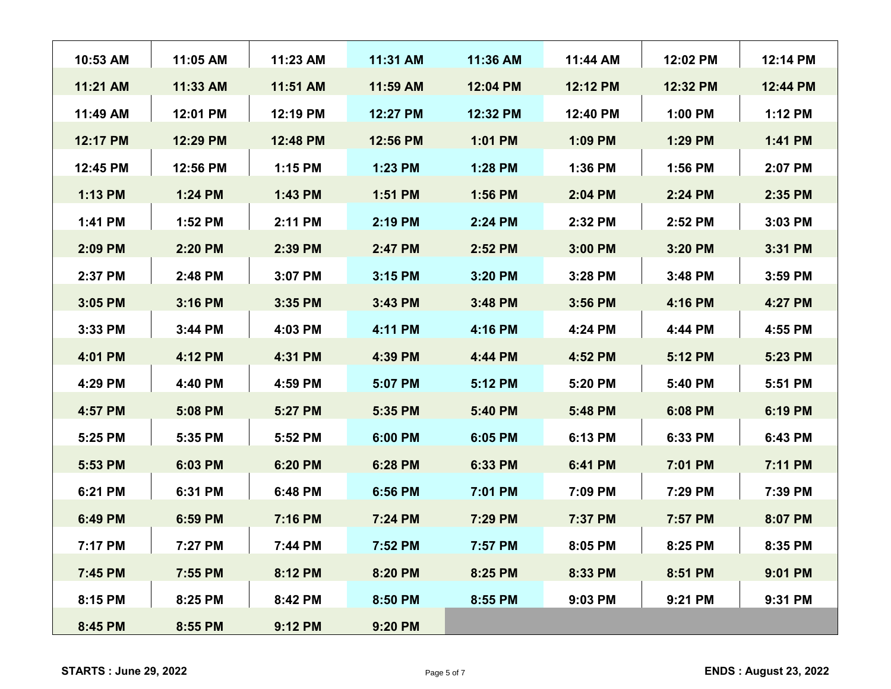| 10:53 AM | 11:05 AM | 11:23 AM | 11:31 AM  | 11:36 AM | 11:44 AM  | 12:02 PM  | 12:14 PM  |
|----------|----------|----------|-----------|----------|-----------|-----------|-----------|
| 11:21 AM | 11:33 AM | 11:51 AM | 11:59 AM  | 12:04 PM | 12:12 PM  | 12:32 PM  | 12:44 PM  |
| 11:49 AM | 12:01 PM | 12:19 PM | 12:27 PM  | 12:32 PM | 12:40 PM  | $1:00$ PM | 1:12 PM   |
| 12:17 PM | 12:29 PM | 12:48 PM | 12:56 PM  | 1:01 PM  | 1:09 PM   | 1:29 PM   | $1:41$ PM |
| 12:45 PM | 12:56 PM | 1:15 PM  | 1:23 PM   | 1:28 PM  | 1:36 PM   | $1:56$ PM | 2:07 PM   |
| 1:13 PM  | 1:24 PM  | 1:43 PM  | 1:51 PM   | 1:56 PM  | 2:04 PM   | 2:24 PM   | 2:35 PM   |
| 1:41 PM  | 1:52 PM  | 2:11 PM  | 2:19 PM   | 2:24 PM  | 2:32 PM   | 2:52 PM   | $3:03$ PM |
| 2:09 PM  | 2:20 PM  | 2:39 PM  | 2:47 PM   | 2:52 PM  | 3:00 PM   | 3:20 PM   | 3:31 PM   |
| 2:37 PM  | 2:48 PM  | 3:07 PM  | 3:15 PM   | 3:20 PM  | 3:28 PM   | $3:48$ PM | 3:59 PM   |
| 3:05 PM  | 3:16 PM  | 3:35 PM  | $3:43$ PM | 3:48 PM  | 3:56 PM   | 4:16 PM   | 4:27 PM   |
| 3:33 PM  | 3:44 PM  | 4:03 PM  | 4:11 PM   | 4:16 PM  | 4:24 PM   | 4:44 PM   | 4:55 PM   |
| 4:01 PM  | 4:12 PM  | 4:31 PM  | 4:39 PM   | 4:44 PM  | 4:52 PM   | 5:12 PM   | 5:23 PM   |
| 4:29 PM  | 4:40 PM  | 4:59 PM  | 5:07 PM   | 5:12 PM  | 5:20 PM   | 5:40 PM   | 5:51 PM   |
| 4:57 PM  | 5:08 PM  | 5:27 PM  | 5:35 PM   | 5:40 PM  | 5:48 PM   | 6:08 PM   | 6:19 PM   |
| 5:25 PM  | 5:35 PM  | 5:52 PM  | 6:00 PM   | 6:05 PM  | 6:13 PM   | 6:33 PM   | 6:43 PM   |
| 5:53 PM  | 6:03 PM  | 6:20 PM  | 6:28 PM   | 6:33 PM  | 6:41 PM   | 7:01 PM   | 7:11 PM   |
| 6:21 PM  | 6:31 PM  | 6:48 PM  | 6:56 PM   | 7:01 PM  | 7:09 PM   | 7:29 PM   | 7:39 PM   |
| 6:49 PM  | 6:59 PM  | 7:16 PM  | 7:24 PM   | 7:29 PM  | 7:37 PM   | 7:57 PM   | 8:07 PM   |
| 7:17 PM  | 7:27 PM  | 7:44 PM  | 7:52 PM   | 7:57 PM  | $8:05$ PM | $8:25$ PM | $8:35$ PM |
| 7:45 PM  | 7:55 PM  | 8:12 PM  | 8:20 PM   | 8:25 PM  | 8:33 PM   | 8:51 PM   | 9:01 PM   |
| 8:15 PM  | 8:25 PM  | 8:42 PM  | 8:50 PM   | 8:55 PM  | 9:03 PM   | 9:21 PM   | 9:31 PM   |
| 8:45 PM  | 8:55 PM  | 9:12 PM  | 9:20 PM   |          |           |           |           |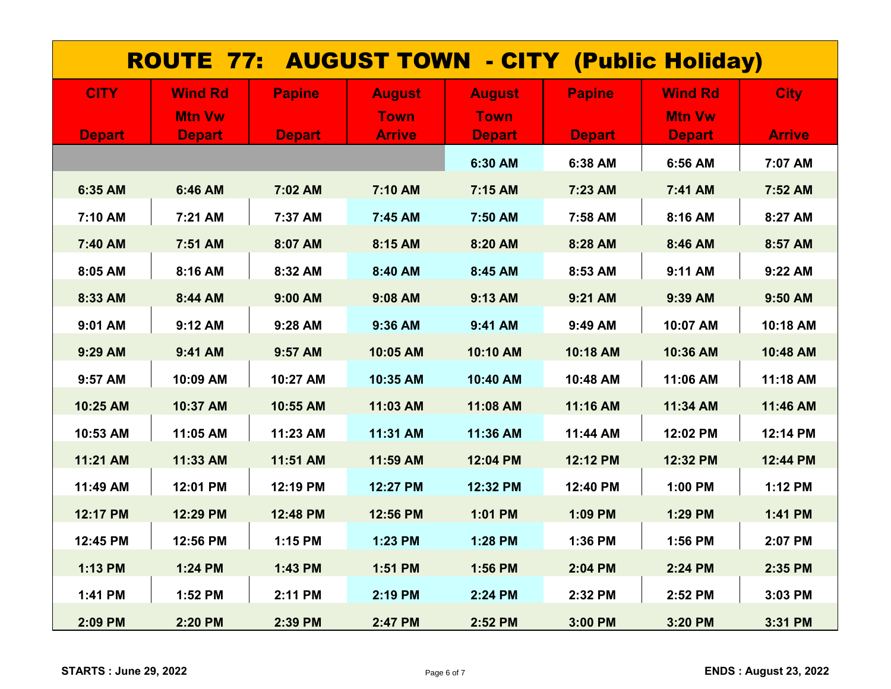| <b>ROUTE 77: AUGUST TOWN - CITY (Public Holiday)</b> |                |               |               |               |               |                |               |  |  |
|------------------------------------------------------|----------------|---------------|---------------|---------------|---------------|----------------|---------------|--|--|
| <b>CITY</b>                                          | <b>Wind Rd</b> | <b>Papine</b> | <b>August</b> | <b>August</b> | <b>Papine</b> | <b>Wind Rd</b> | <b>City</b>   |  |  |
|                                                      | <b>Mtn Vw</b>  |               | <b>Town</b>   | <b>Town</b>   |               | <b>Mtn Vw</b>  |               |  |  |
| <b>Depart</b>                                        | <b>Depart</b>  | <b>Depart</b> | <b>Arrive</b> | <b>Depart</b> | <b>Depart</b> | <b>Depart</b>  | <b>Arrive</b> |  |  |
|                                                      |                |               |               | 6:30 AM       | 6:38 AM       | 6:56 AM        | 7:07 AM       |  |  |
| 6:35 AM                                              | 6:46 AM        | 7:02 AM       | 7:10 AM       | 7:15 AM       | 7:23 AM       | 7:41 AM        | 7:52 AM       |  |  |
| 7:10 AM                                              | 7:21 AM        | 7:37 AM       | 7:45 AM       | 7:50 AM       | 7:58 AM       | 8:16 AM        | 8:27 AM       |  |  |
| 7:40 AM                                              | 7:51 AM        | 8:07 AM       | 8:15 AM       | 8:20 AM       | 8:28 AM       | 8:46 AM        | 8:57 AM       |  |  |
| 8:05 AM                                              | 8:16 AM        | 8:32 AM       | 8:40 AM       | 8:45 AM       | 8:53 AM       | 9:11 AM        | 9:22 AM       |  |  |
| 8:33 AM                                              | 8:44 AM        | 9:00 AM       | 9:08 AM       | 9:13 AM       | 9:21 AM       | 9:39 AM        | 9:50 AM       |  |  |
| 9:01 AM                                              | 9:12 AM        | 9:28 AM       | 9:36 AM       | 9:41 AM       | 9:49 AM       | 10:07 AM       | 10:18 AM      |  |  |
| 9:29 AM                                              | 9:41 AM        | 9:57 AM       | 10:05 AM      | 10:10 AM      | 10:18 AM      | 10:36 AM       | 10:48 AM      |  |  |
| 9:57 AM                                              | 10:09 AM       | 10:27 AM      | 10:35 AM      | 10:40 AM      | 10:48 AM      | 11:06 AM       | 11:18 AM      |  |  |
| 10:25 AM                                             | 10:37 AM       | 10:55 AM      | 11:03 AM      | 11:08 AM      | 11:16 AM      | 11:34 AM       | 11:46 AM      |  |  |
| 10:53 AM                                             | 11:05 AM       | 11:23 AM      | 11:31 AM      | 11:36 AM      | 11:44 AM      | 12:02 PM       | 12:14 PM      |  |  |
| 11:21 AM                                             | 11:33 AM       | 11:51 AM      | 11:59 AM      | 12:04 PM      | 12:12 PM      | 12:32 PM       | 12:44 PM      |  |  |
| 11:49 AM                                             | 12:01 PM       | 12:19 PM      | 12:27 PM      | 12:32 PM      | 12:40 PM      | 1:00 PM        | 1:12 PM       |  |  |
| 12:17 PM                                             | 12:29 PM       | 12:48 PM      | 12:56 PM      | 1:01 PM       | 1:09 PM       | 1:29 PM        | 1:41 PM       |  |  |
| 12:45 PM                                             | 12:56 PM       | 1:15 PM       | 1:23 PM       | 1:28 PM       | 1:36 PM       | 1:56 PM        | 2:07 PM       |  |  |
| 1:13 PM                                              | 1:24 PM        | 1:43 PM       | 1:51 PM       | 1:56 PM       | 2:04 PM       | 2:24 PM        | 2:35 PM       |  |  |
| 1:41 PM                                              | 1:52 PM        | 2:11 PM       | 2:19 PM       | 2:24 PM       | 2:32 PM       | 2:52 PM        | 3:03 PM       |  |  |
| 2:09 PM                                              | 2:20 PM        | 2:39 PM       | 2:47 PM       | 2:52 PM       | 3:00 PM       | 3:20 PM        | 3:31 PM       |  |  |